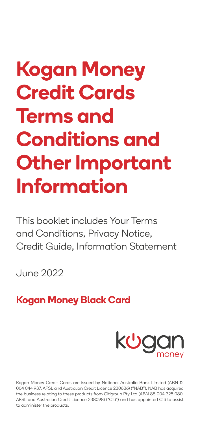# **Kogan Money Credit Cards Terms and Conditions and Other Important Information**

This booklet includes Your Terms and Conditions, Privacy Notice, Credit Guide, Information Statement

June 2022

# **Kogan Money Black Card**



Kogan Money Credit Cards are issued by National Australia Bank Limited (ABN 12 004 044 937, AFSL and Australian Credit Licence 230686) ("NAB"). NAB has acquired the business relating to these products from Citigroup Pty Ltd (ABN 88 004 325 080, AFSL and Australian Credit Licence 238098) ("Citi") and has appointed Citi to assist to administer the products.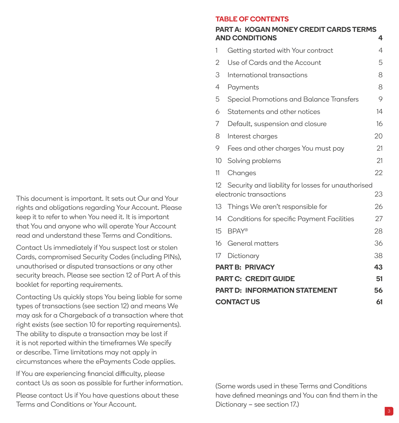This document is important. It sets out Our and Your rights and obligations regarding Your Account. Please keep it to refer to when You need it. It is important that You and anyone who will operate Your Account read and understand these Terms and Conditions.

Contact Us immediately if You suspect lost or stolen Cards, compromised Security Codes (including PINs), unauthorised or disputed transactions or any other security breach. Please see section 12 of Part A of this booklet for reporting requirements.

Contacting Us quickly stops You being liable for some types of transactions (see section 12) and means We may ask for a Chargeback of a transaction where that right exists (see section 10 for reporting requirements). The ability to dispute a transaction may be lost if it is not reported within the timeframes We specify or describe. Time limitations may not apply in circumstances where the ePayments Code applies.

If You are experiencing financial difficulty, please contact Us as soon as possible for further information.

Please contact Us if You have questions about these Terms and Conditions or Your Account.

#### **TABLE OF CONTENTS**

#### **PART A: [KOGAN MONEY CREDIT CARDS TERMS](#page-2-0)  [AND CONDITIONS](#page-2-0) 4**

| 1                                          | Getting started with Your contract                 | 4  |  |  |
|--------------------------------------------|----------------------------------------------------|----|--|--|
| 2                                          | Use of Cards and the Account                       | 5  |  |  |
| 3                                          | International transactions                         | 8  |  |  |
| 4                                          | Payments                                           | 8  |  |  |
| 5                                          | Special Promotions and Balance Transfers           | 9  |  |  |
| 6                                          | Statements and other notices                       | 14 |  |  |
| 7                                          | Default, suspension and closure                    | 16 |  |  |
| 8                                          | Interest charges                                   | 20 |  |  |
| 9                                          | Fees and other charges You must pay                | 21 |  |  |
| 10                                         | Solving problems                                   | 21 |  |  |
| 11                                         | Changes                                            | 22 |  |  |
| 12                                         | Security and liability for losses for unauthorised |    |  |  |
|                                            | electronic transactions                            | 23 |  |  |
| 13                                         | Things We aren't responsible for                   | 26 |  |  |
| 14                                         | Conditions for specific Payment Facilities         | 27 |  |  |
| 15                                         | <b>BPAY®</b>                                       | 28 |  |  |
| 16                                         | General matters                                    | 36 |  |  |
| 17                                         | Dictionary                                         | 38 |  |  |
| <b>PART B: PRIVACY</b><br>43               |                                                    |    |  |  |
| <b>PART C: CREDIT GUIDE</b><br>51          |                                                    |    |  |  |
| <b>PART D: INFORMATION STATEMENT</b><br>56 |                                                    |    |  |  |
| <b>CONTACT US</b><br>61                    |                                                    |    |  |  |

(Some words used in these Terms and Conditions have defined meanings and You can find them in the Dictionary – see section 17.)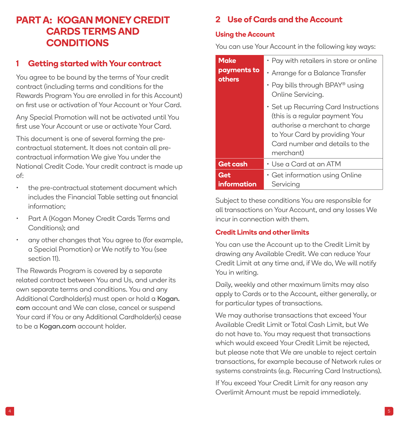# <span id="page-2-0"></span>**PART A: KOGAN MONEY CREDIT CARDS TERMS AND CONDITIONS**

## **1 Getting started with Your contract**

You agree to be bound by the terms of Your credit contract (including terms and conditions for the Rewards Program You are enrolled in for this Account) on first use or activation of Your Account or Your Card.

Any Special Promotion will not be activated until You first use Your Account or use or activate Your Card.

This document is one of several forming the precontractual statement. It does not contain all precontractual information We give You under the National Credit Code. Your credit contract is made up of:

- the pre-contractual statement document which includes the Financial Table setting out financial information;
- Part A (Kogan Money Credit Cards Terms and Conditions); and
- any other changes that You agree to (for example, a Special Promotion) or We notify to You (see section 11).

The Rewards Program is covered by a separate related contract between You and Us, and under its own separate terms and conditions. You and any Additional Cardholder(s) must open or hold a [Kogan.](http://Kogan.com) [com](http://Kogan.com) account and We can close, cancel or suspend Your card if You or any Additional Cardholder(s) cease to be a [Kogan.com](http://Kogan.com) account holder.

## **2 Use of Cards and the Account**

#### **Using the Account**

You can use Your Account in the following key ways:

| <b>Make</b><br>payments to | • Pay with retailers in store or online                                                                                                                                                   |  |
|----------------------------|-------------------------------------------------------------------------------------------------------------------------------------------------------------------------------------------|--|
| others                     | $\cdot$ Arrange for a Balance Transfer<br>• Pay bills through BPAY® using<br>Online Servicing.                                                                                            |  |
|                            | • Set up Recurring Card Instructions<br>(this is a regular payment You<br>authorise a merchant to charge<br>to Your Card by providing Your<br>Card number and details to the<br>merchant) |  |
| <b>Get cash</b>            | • Use a Card at an ATM                                                                                                                                                                    |  |
| Get                        | $\cdot$ Get information using Online                                                                                                                                                      |  |
| information                | Servicing                                                                                                                                                                                 |  |

Subject to these conditions You are responsible for all transactions on Your Account, and any losses We incur in connection with them.

## **Credit Limits and other limits**

You can use the Account up to the Credit Limit by drawing any Available Credit. We can reduce Your Credit Limit at any time and, if We do, We will notify You in writing.

Daily, weekly and other maximum limits may also apply to Cards or to the Account, either generally, or for particular types of transactions.

We may authorise transactions that exceed Your Available Credit Limit or Total Cash Limit, but We do not have to. You may request that transactions which would exceed Your Credit Limit be rejected, but please note that We are unable to reject certain transactions, for example because of Network rules or systems constraints (e.g. Recurring Card Instructions).

If You exceed Your Credit Limit for any reason any Overlimit Amount must be repaid immediately.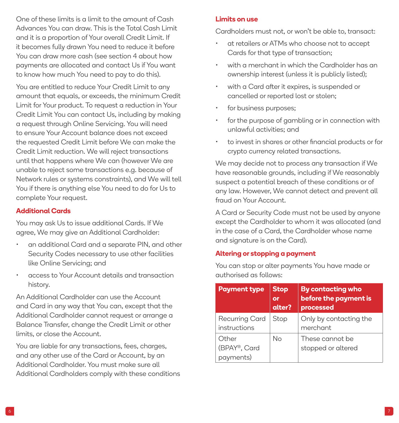One of these limits is a limit to the amount of Cash Advances You can draw. This is the Total Cash Limit and it is a proportion of Your overall Credit Limit. If it becomes fully drawn You need to reduce it before You can draw more cash (see section 4 about how payments are allocated and contact Us if You want to know how much You need to pay to do this).

You are entitled to reduce Your Credit Limit to any amount that equals, or exceeds, the minimum Credit Limit for Your product. To request a reduction in Your Credit Limit You can contact Us, including by making a request through Online Servicing. You will need to ensure Your Account balance does not exceed the requested Credit Limit before We can make the Credit Limit reduction. We will reject transactions until that happens where We can (however We are unable to reject some transactions e.g. because of Network rules or systems constraints), and We will tell You if there is anything else You need to do for Us to complete Your request.

## **Additional Cards**

You may ask Us to issue additional Cards. If We agree, We may give an Additional Cardholder:

- an additional Card and a separate PIN, and other Security Codes necessary to use other facilities like Online Servicing; and
- access to Your Account details and transaction history.

An Additional Cardholder can use the Account and Card in any way that You can, except that the Additional Cardholder cannot request or arrange a Balance Transfer, change the Credit Limit or other limits, or close the Account.

You are liable for any transactions, fees, charges, and any other use of the Card or Account, by an Additional Cardholder. You must make sure all Additional Cardholders comply with these conditions

#### **Limits on use**

Cardholders must not, or won't be able to, transact:

- at retailers or ATMs who choose not to accept Cards for that type of transaction;
- with a merchant in which the Cardholder has an ownership interest (unless it is publicly listed);
- with a Card after it expires, is suspended or cancelled or reported lost or stolen;
- for business purposes:
- for the purpose of gambling or in connection with unlawful activities; and
- to invest in shares or other financial products or for crypto currency related transactions.

We may decide not to process any transaction if We have reasonable grounds, including if We reasonably suspect a potential breach of these conditions or of any law. However, We cannot detect and prevent all fraud on Your Account.

A Card or Security Code must not be used by anyone except the Cardholder to whom it was allocated (and in the case of a Card, the Cardholder whose name and signature is on the Card).

#### **Altering or stopping a payment**

You can stop or alter payments You have made or authorised as follows:

| <b>Payment type</b>                | <b>Stop</b><br>or<br>alter? | <b>By contacting who</b><br>before the payment is<br>processed |
|------------------------------------|-----------------------------|----------------------------------------------------------------|
| Recurring Card<br>instructions     | Stop                        | Only by contacting the<br>merchant                             |
| Other<br>(BPAY®, Card<br>payments) | Nο                          | These cannot be<br>stopped or altered                          |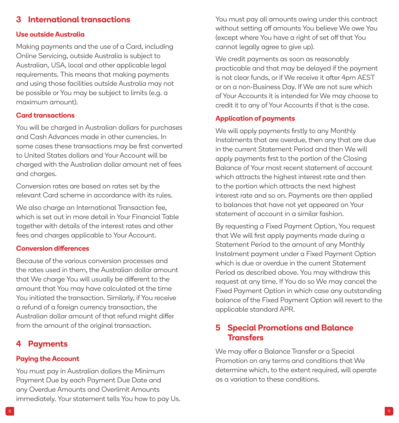## <span id="page-4-0"></span>**3 International transactions**

#### **Use outside Australia**

Making payments and the use of a Card, including Online Servicing, outside Australia is subject to Australian, USA, local and other applicable legal requirements. This means that making payments and using those facilities outside Australia may not be possible or You may be subject to limits (e.g. a maximum amount).

#### **Card transactions**

You will be charged in Australian dollars for purchases and Cash Advances made in other currencies. In some cases these transactions may be first converted to United States dollars and Your Account will be charged with the Australian dollar amount net of fees and charges.

Conversion rates are based on rates set by the relevant Card scheme in accordance with its rules.

We also charge an International Transaction fee, which is set out in more detail in Your Financial Table together with details of the interest rates and other fees and charges applicable to Your Account.

#### **Conversion differences**

Because of the various conversion processes and the rates used in them, the Australian dollar amount that We charge You will usually be different to the amount that You may have calculated at the time You initiated the transaction. Similarly, if You receive a refund of a foreign currency transaction, the Australian dollar amount of that refund might differ from the amount of the original transaction.

## **4 Payments**

#### **Paying the Account**

You must pay in Australian dollars the Minimum Payment Due by each Payment Due Date and any Overdue Amounts and Overlimit Amounts immediately. Your statement tells You how to pay Us. You must pay all amounts owing under this contract without setting off amounts You believe We owe You (except where You have a right of set off that You cannot legally agree to give up).

We credit payments as soon as reasonably practicable and that may be delayed if the payment is not clear funds, or if We receive it after 4pm AEST or on a non-Business Day. If We are not sure which of Your Accounts it is intended for We may choose to credit it to any of Your Accounts if that is the case.

#### **Application of payments**

We will apply payments firstly to any Monthly Instalments that are overdue, then any that are due in the current Statement Period and then We will apply payments first to the portion of the Closing Balance of Your most recent statement of account which attracts the highest interest rate and then to the portion which attracts the next highest interest rate and so on. Payments are then applied to balances that have not yet appeared on Your statement of account in a similar fashion.

By requesting a Fixed Payment Option, You request that We will first apply payments made during a Statement Period to the amount of any Monthly Instalment payment under a Fixed Payment Option which is due or overdue in the current Statement Period as described above. You may withdraw this request at any time. If You do so We may cancel the Fixed Payment Option in which case any outstanding balance of the Fixed Payment Option will revert to the applicable standard APR.

## **5 Special Promotions and Balance Transfers**

We may offer a Balance Transfer or a Special Promotion on any terms and conditions that We determine which, to the extent required, will operate as a variation to these conditions.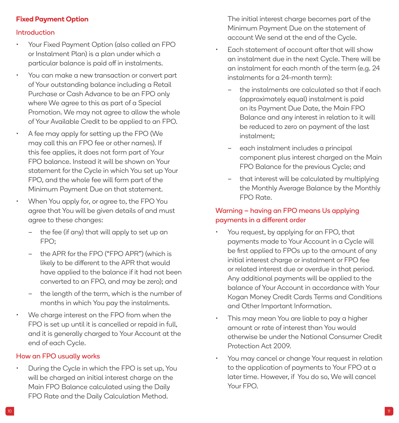## **Fixed Payment Option**

#### Introduction

- Your Fixed Payment Option (also called an FPO or Instalment Plan) is a plan under which a particular balance is paid off in instalments.
- You can make a new transaction or convert part of Your outstanding balance including a Retail Purchase or Cash Advance to be an FPO only where We agree to this as part of a Special Promotion. We may not agree to allow the whole of Your Available Credit to be applied to an FPO.
- A fee may apply for setting up the FPO (We may call this an FPO fee or other names). If this fee applies, it does not form part of Your FPO balance. Instead it will be shown on Your statement for the Cycle in which You set up Your FPO, and the whole fee will form part of the Minimum Payment Due on that statement.
- When You apply for, or agree to, the FPO You agree that You will be given details of and must agree to these changes:
	- the fee (if any) that will apply to set up an FPO;
	- the APR for the FPO ("FPO APR") (which is likely to be different to the APR that would have applied to the balance if it had not been converted to an FPO, and may be zero); and
	- the length of the term, which is the number of months in which You pay the instalments.
- We charge interest on the FPO from when the FPO is set up until it is cancelled or repaid in full, and it is generally charged to Your Account at the end of each Cycle.

#### How an FPO usually works

• During the Cycle in which the FPO is set up, You will be charged an initial interest charge on the Main FPO Balance calculated using the Daily FPO Rate and the Daily Calculation Method.

The initial interest charge becomes part of the Minimum Payment Due on the statement of account We send at the end of the Cycle.

- Each statement of account after that will show an instalment due in the next Cycle. There will be an instalment for each month of the term (e.g. 24 instalments for a 24-month term):
	- the instalments are calculated so that if each (approximately equal) instalment is paid on its Payment Due Date, the Main FPO Balance and any interest in relation to it will be reduced to zero on payment of the last instalment;
	- each instalment includes a principal component plus interest charged on the Main FPO Balance for the previous Cycle; and
	- that interest will be calculated by multiplying the Monthly Average Balance by the Monthly FPO Rate.

## Warning – having an FPO means Us applying payments in a different order

- You request, by applying for an FPO, that payments made to Your Account in a Cycle will be first applied to FPOs up to the amount of any initial interest charge or instalment or FPO fee or related interest due or overdue in that period. Any additional payments will be applied to the balance of Your Account in accordance with Your Kogan Money Credit Cards Terms and Conditions and Other Important Information.
- This may mean You are liable to pay a higher amount or rate of interest than You would otherwise be under the National Consumer Credit Protection Act 2009.
- You may cancel or change Your request in relation to the application of payments to Your FPO at a later time. However, if You do so, We will cancel Your FPO.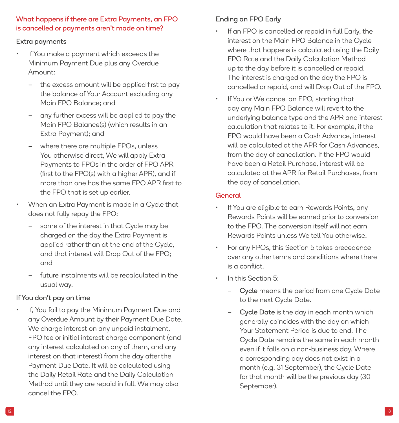## What happens if there are Extra Payments, an FPO is cancelled or payments aren't made on time?

#### Extra payments

- If You make a payment which exceeds the Minimum Payment Due plus any Overdue Amount:
	- the excess amount will be applied first to pay the balance of Your Account excluding any Main FPO Balance; and
	- any further excess will be applied to pay the Main FPO Balance(s) (which results in an Extra Payment); and
	- where there are multiple FPOs, unless You otherwise direct, We will apply Extra Payments to FPOs in the order of FPO APR (first to the FPO(s) with a higher APR), and if more than one has the same FPO APR first to the FPO that is set up earlier.
- When an Extra Payment is made in a Cycle that does not fully repay the FPO:
	- some of the interest in that Cycle may be charged on the day the Extra Payment is applied rather than at the end of the Cycle, and that interest will Drop Out of the FPO; and
	- future instalments will be recalculated in the usual way.

## If You don't pay on time

If, You fail to pay the Minimum Payment Due and any Overdue Amount by their Payment Due Date, We charge interest on any unpaid instalment, FPO fee or initial interest charge component (and any interest calculated on any of them, and any interest on that interest) from the day after the Payment Due Date. It will be calculated using the Daily Retail Rate and the Daily Calculation Method until they are repaid in full. We may also cancel the FPO.

## Ending an FPO Early

- If an FPO is cancelled or repaid in full Early, the interest on the Main FPO Balance in the Cycle where that happens is calculated using the Daily FPO Rate and the Daily Calculation Method up to the day before it is cancelled or repaid. The interest is charged on the day the FPO is cancelled or repaid, and will Drop Out of the FPO.
- If You or We cancel an FPO, starting that day any Main FPO Balance will revert to the underlying balance type and the APR and interest calculation that relates to it. For example, if the FPO would have been a Cash Advance, interest will be calculated at the APR for Cash Advances, from the day of cancellation. If the FPO would have been a Retail Purchase, interest will be calculated at the APR for Retail Purchases, from the day of cancellation.

#### General

- If You are eligible to earn Rewards Points, any Rewards Points will be earned prior to conversion to the FPO. The conversion itself will not earn Rewards Points unless We tell You otherwise.
- For any FPOs, this Section 5 takes precedence over any other terms and conditions where there is a conflict.
- In this Section 5:
	- Cycle means the period from one Cycle Date to the next Cycle Date.
	- Cycle Date is the day in each month which generally coincides with the day on which Your Statement Period is due to end. The Cycle Date remains the same in each month even if it falls on a non-business day. Where a corresponding day does not exist in a month (e.g. 31 September), the Cycle Date for that month will be the previous day (30 September).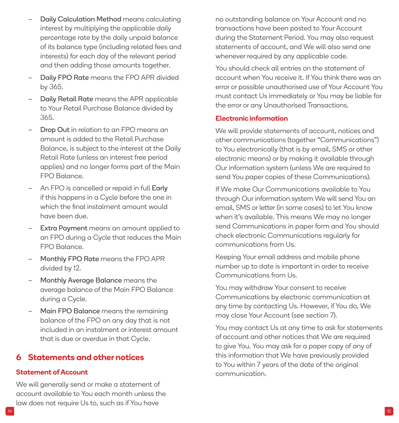- <span id="page-7-0"></span>– Daily Calculation Method means calculating interest by multiplying the applicable daily percentage rate by the daily unpaid balance of its balance type (including related fees and interests) for each day of the relevant period and then adding those amounts together.
- Daily FPO Rate means the FPO APR divided by 365.
- Daily Retail Rate means the APR applicable to Your Retail Purchase Balance divided by 365.
- Drop Out in relation to an FPO means an amount is added to the Retail Purchase Balance, is subject to the interest at the Daily Retail Rate (unless an interest free period applies) and no longer forms part of the Main FPO Balance.
- An FPO is cancelled or repaid in full Early if this happens in a Cycle before the one in which the final instalment amount would have been due.
- Extra Payment means an amount applied to an FPO during a Cycle that reduces the Main FPO Balance.
- Monthly FPO Rate means the FPO APR divided by 12.
- Monthly Average Balance means the average balance of the Main FPO Balance during a Cycle.
- Main FPO Balance means the remaining balance of the FPO on any day that is not included in an instalment or interest amount that is due or overdue in that Cycle.

## **6 Statements and other notices**

## **Statement of Account**

We will generally send or make a statement of account available to You each month unless the law does not require Us to, such as if You have

no outstanding balance on Your Account and no transactions have been posted to Your Account during the Statement Period. You may also request statements of account, and We will also send one whenever required by any applicable code.

You should check all entries on the statement of account when You receive it. If You think there was an error or possible unauthorised use of Your Account You must contact Us immediately or You may be liable for the error or any Unauthorised Transactions.

#### **Electronic information**

We will provide statements of account, notices and other communications (together "Communications") to You electronically (that is by email, SMS or other electronic means) or by making it available through Our information system (unless We are required to send You paper copies of these Communications).

If We make Our Communications available to You through Our information system We will send You an email, SMS or letter (in some cases) to let You know when it's available. This means We may no longer send Communications in paper form and You should check electronic Communications regularly for communications from Us.

Keeping Your email address and mobile phone number up to date is important in order to receive Communications from Us.

You may withdraw Your consent to receive Communications by electronic communication at any time by contacting Us. However, if You do, We may close Your Account (see section 7).

You may contact Us at any time to ask for statements of account and other notices that We are required to give You. You may ask for a paper copy of any of this information that We have previously provided to You within 7 years of the date of the original communication.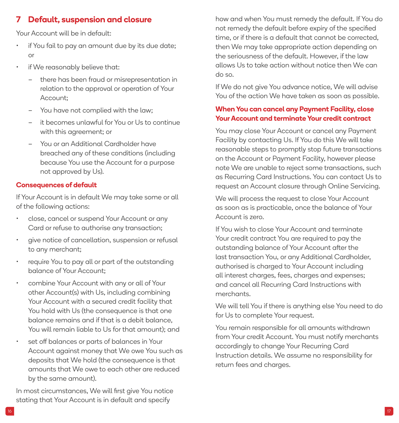## <span id="page-8-0"></span>**7 Default, suspension and closure**

Your Account will be in default:

- if You fail to pay an amount due by its due date; or
- if We reasonably believe that:
	- there has been fraud or misrepresentation in relation to the approval or operation of Your Account;
	- You have not complied with the law;
	- it becomes unlawful for You or Us to continue with this agreement: or
	- You or an Additional Cardholder have breached any of these conditions (including because You use the Account for a purpose not approved by Us).

## **Consequences of default**

If Your Account is in default We may take some or all of the following actions:

- close, cancel or suspend Your Account or any Card or refuse to authorise any transaction;
- give notice of cancellation, suspension or refusal to any merchant;
- require You to pay all or part of the outstanding balance of Your Account;
- combine Your Account with any or all of Your other Account(s) with Us, including combining Your Account with a secured credit facility that You hold with Us (the consequence is that one balance remains and if that is a debit balance, You will remain liable to Us for that amount); and
- set off balances or parts of balances in Your Account against money that We owe You such as deposits that We hold (the consequence is that amounts that We owe to each other are reduced by the same amount).

In most circumstances, We will first give You notice stating that Your Account is in default and specify

how and when You must remedy the default. If You do not remedy the default before expiry of the specified time, or if there is a default that cannot be corrected, then We may take appropriate action depending on the seriousness of the default. However, if the law allows Us to take action without notice then We can do so.

If We do not give You advance notice, We will advise You of the action We have taken as soon as possible.

## **When You can cancel any Payment Facility, close Your Account and terminate Your credit contract**

You may close Your Account or cancel any Payment Facility by contacting Us. If You do this We will take reasonable steps to promptly stop future transactions on the Account or Payment Facility, however please note We are unable to reject some transactions, such as Recurring Card Instructions. You can contact Us to request an Account closure through Online Servicing.

We will process the request to close Your Account as soon as is practicable, once the balance of Your Account is zero.

If You wish to close Your Account and terminate Your credit contract You are required to pay the outstanding balance of Your Account after the last transaction You, or any Additional Cardholder, authorised is charged to Your Account including all interest charges, fees, charges and expenses; and cancel all Recurring Card Instructions with merchants.

We will tell You if there is anything else You need to do for Us to complete Your request.

You remain responsible for all amounts withdrawn from Your credit Account. You must notify merchants accordingly to change Your Recurring Card Instruction details. We assume no responsibility for return fees and charges.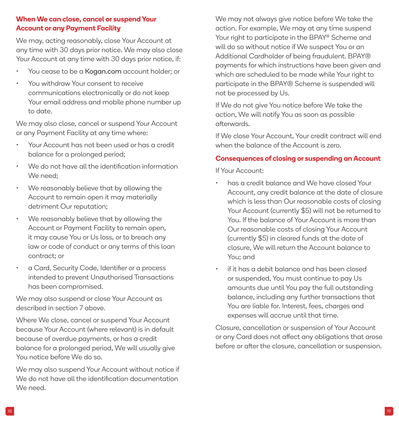## **When We can close, cancel or suspend Your Account or any Payment Facility**

We may, acting reasonably, close Your Account at any time with 30 days prior notice. We may also close Your Account at any time with 30 days prior notice, if:

- You cease to be a [Kogan.com](http://Kogan.com) account holder: or
- You withdraw Your consent to receive communications electronically or do not keep Your email address and mobile phone number up to date.

We may also close, cancel or suspend Your Account or any Payment Facility at any time where:

- Your Account has not been used or has a credit balance for a prolonged period;
- We do not have all the identification information We need;
- We reasonably believe that by allowing the Account to remain open it may materially detriment Our reputation;
- We reasonably believe that by allowing the Account or Payment Facility to remain open, it may cause You or Us loss, or to breach any law or code of conduct or any terms of this loan contract; or
- a Card, Security Code, Identifier or a process intended to prevent Unauthorised Transactions has been compromised.

We may also suspend or close Your Account as described in section 7 above.

Where We close, cancel or suspend Your Account because Your Account (where relevant) is in default because of overdue payments, or has a credit balance for a prolonged period, We will usually give You notice before We do so.

We may also suspend Your Account without notice if We do not have all the identification documentation We need.

We may not always give notice before We take the action. For example, We may at any time suspend Your right to participate in the BPAY® Scheme and will do so without notice if We suspect You or an Additional Cardholder of being fraudulent. BPAY® payments for which instructions have been given and which are scheduled to be made while Your right to participate in the BPAY® Scheme is suspended will not be processed by Us.

If We do not give You notice before We take the action, We will notify You as soon as possible afterwards.

If We close Your Account, Your credit contract will end when the balance of the Account is zero.

#### **Consequences of closing or suspending an Account**

If Your Account:

- has a credit balance and We have closed Your Account, any credit balance at the date of closure which is less than Our reasonable costs of closing Your Account (currently \$5) will not be returned to You. If the balance of Your Account is more than Our reasonable costs of closing Your Account (currently \$5) in cleared funds at the date of closure, We will return the Account balance to You; and
- if it has a debit balance and has been closed or suspended, You must continue to pay Us amounts due until You pay the full outstanding balance, including any further transactions that You are liable for. Interest, fees, charges and expenses will accrue until that time.

Closure, cancellation or suspension of Your Account or any Card does not affect any obligations that arose before or after the closure, cancellation or suspension.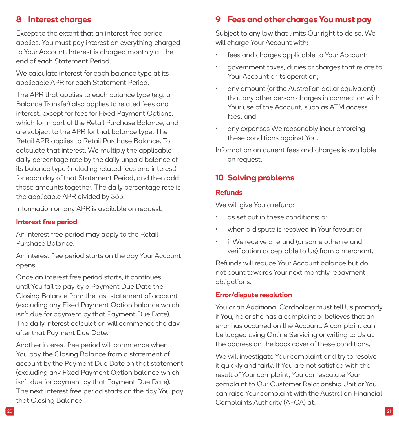## <span id="page-10-0"></span>**8 Interest charges**

Except to the extent that an interest free period applies, You must pay interest on everything charged to Your Account. Interest is charged monthly at the end of each Statement Period.

We calculate interest for each balance type at its applicable APR for each Statement Period.

The APR that applies to each balance type (e.g. a Balance Transfer) also applies to related fees and interest, except for fees for Fixed Payment Options, which form part of the Retail Purchase Balance, and are subject to the APR for that balance type. The Retail APR applies to Retail Purchase Balance. To calculate that interest, We multiply the applicable daily percentage rate by the daily unpaid balance of its balance type (including related fees and interest) for each day of that Statement Period, and then add those amounts together. The daily percentage rate is the applicable APR divided by 365.

Information on any APR is available on request.

#### **Interest free period**

An interest free period may apply to the Retail Purchase Balance.

An interest free period starts on the day Your Account opens.

Once an interest free period starts, it continues until You fail to pay by a Payment Due Date the Closing Balance from the last statement of account (excluding any Fixed Payment Option balance which isn't due for payment by that Payment Due Date). The daily interest calculation will commence the day after that Payment Due Date.

Another interest free period will commence when You pay the Closing Balance from a statement of account by the Payment Due Date on that statement (excluding any Fixed Payment Option balance which isn't due for payment by that Payment Due Date). The next interest free period starts on the day You pay that Closing Balance.

## **9 Fees and other charges You must pay**

Subject to any law that limits Our right to do so, We will charge Your Account with:

- fees and charges applicable to Your Account;
- government taxes, duties or charges that relate to Your Account or its operation;
- any amount (or the Australian dollar equivalent) that any other person charges in connection with Your use of the Account, such as ATM access fees; and
- any expenses We reasonably incur enforcing these conditions against You.

Information on current fees and charges is available on request.

## **10 Solving problems**

#### **Refunds**

We will give You a refund:

- as set out in these conditions; or
- when a dispute is resolved in Your favour; or
- if We receive a refund (or some other refund verification acceptable to Us) from a merchant.

Refunds will reduce Your Account balance but do not count towards Your next monthly repayment obligations.

#### **Error/dispute resolution**

You or an Additional Cardholder must tell Us promptly if You, he or she has a complaint or believes that an error has occurred on the Account. A complaint can be lodged using Online Servicing or writing to Us at the address on the back cover of these conditions.

We will investigate Your complaint and try to resolve it quickly and fairly. If You are not satisfied with the result of Your complaint, You can escalate Your complaint to Our Customer Relationship Unit or You can raise Your complaint with the Australian Financial Complaints Authority (AFCA) at: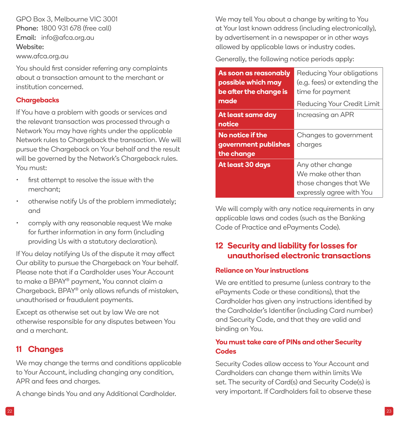<span id="page-11-0"></span>GPO Box 3, Melbourne VIC 3001 Phone: 1800 931 678 (free call) Email: [info@afca.org.au](mailto:INFO%40AFCA.ORG.AU?subject=)  Website: [www.afca.org.au](http://WWW.AFCA.ORG.AU)

You should first consider referring any complaints about a transaction amount to the merchant or institution concerned.

#### **Chargebacks**

If You have a problem with goods or services and the relevant transaction was processed through a Network You may have rights under the applicable Network rules to Chargeback the transaction. We will pursue the Chargeback on Your behalf and the result will be governed by the Network's Chargeback rules. You must:

- first attempt to resolve the issue with the merchant;
- otherwise notify Us of the problem immediately; and
- comply with any reasonable request We make for further information in any form (including providing Us with a statutory declaration).

If You delay notifying Us of the dispute it may affect Our ability to pursue the Chargeback on Your behalf. Please note that if a Cardholder uses Your Account to make a BPAY® payment, You cannot claim a Chargeback. BPAY® only allows refunds of mistaken, unauthorised or fraudulent payments.

Except as otherwise set out by law We are not otherwise responsible for any disputes between You and a merchant.

## **11 Changes**

We may change the terms and conditions applicable to Your Account, including changing any condition, APR and fees and charges.

A change binds You and any Additional Cardholder.

We may tell You about a change by writing to You at Your last known address (including electronically), by advertisement in a newspaper or in other ways allowed by applicable laws or industry codes.

Generally, the following notice periods apply:

| As soon as reasonably<br>possible which may<br>be after the change is | Reducing Your obligations<br>(e.g. fees) or extending the<br>time for payment |
|-----------------------------------------------------------------------|-------------------------------------------------------------------------------|
| made                                                                  | Reducing Your Credit Limit                                                    |
| At least same day<br>notice                                           | Increasing an APR                                                             |
| No notice if the                                                      | Changes to government                                                         |
| government publishes                                                  | charges                                                                       |
| the change                                                            |                                                                               |
| At least 30 days                                                      | Any other change                                                              |
|                                                                       | We make other than                                                            |
|                                                                       | those changes that We                                                         |
|                                                                       | expressly agree with You                                                      |

We will comply with any notice requirements in any applicable laws and codes (such as the Banking Code of Practice and ePayments Code).

## **12 Security and liability for losses for unauthorised electronic transactions**

#### **Reliance on Your instructions**

We are entitled to presume (unless contrary to the ePayments Code or these conditions), that the Cardholder has given any instructions identified by the Cardholder's Identifier (including Card number) and Security Code, and that they are valid and binding on You.

## **You must take care of PINs and other Security Codes**

Security Codes allow access to Your Account and Cardholders can change them within limits We set. The security of Card(s) and Security Code(s) is very important. If Cardholders fail to observe these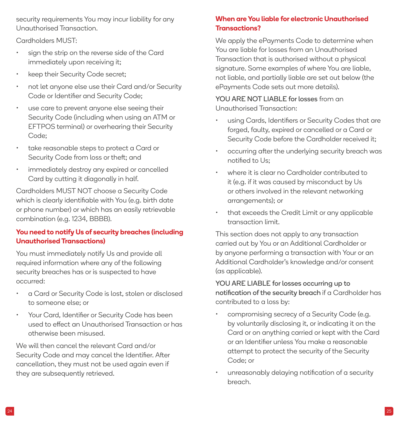security requirements You may incur liability for any Unauthorised Transaction.

Cardholders MUST:

- sign the strip on the reverse side of the Card immediately upon receiving it;
- keep their Security Code secret;
- not let anyone else use their Card and/or Security Code or Identifier and Security Code;
- use care to prevent anyone else seeing their Security Code (including when using an ATM or EFTPOS terminal) or overhearing their Security Code<sup>·</sup>
- take reasonable steps to protect a Card or Security Code from loss or theft; and
- immediately destroy any expired or cancelled Card by cutting it diagonally in half.

Cardholders MUST NOT choose a Security Code which is clearly identifiable with You (e.g. birth date or phone number) or which has an easily retrievable combination (e.g. 1234, BBBB).

## **You need to notify Us of security breaches (including Unauthorised Transactions)**

You must immediately notify Us and provide all required information where any of the following security breaches has or is suspected to have occurred:

- a Card or Security Code is lost, stolen or disclosed to someone else; or
- Your Card, Identifier or Security Code has been used to effect an Unauthorised Transaction or has otherwise been misused.

We will then cancel the relevant Card and/or Security Code and may cancel the Identifier. After cancellation, they must not be used again even if they are subsequently retrieved.

## **When are You liable for electronic Unauthorised Transactions?**

We apply the ePayments Code to determine when You are liable for losses from an Unauthorised Transaction that is authorised without a physical signature. Some examples of where You are liable, not liable, and partially liable are set out below (the ePayments Code sets out more details).

YOU ARE NOT LIABLE for losses from an Unauthorised Transaction:

- using Cards, Identifiers or Security Codes that are forged, faulty, expired or cancelled or a Card or Security Code before the Cardholder received it;
- occurring after the underlying security breach was notified to Us;
- where it is clear no Cardholder contributed to it (e.g. if it was caused by misconduct by Us or others involved in the relevant networking arrangements); or
- that exceeds the Credit Limit or any applicable transaction limit.

This section does not apply to any transaction carried out by You or an Additional Cardholder or by anyone performing a transaction with Your or an Additional Cardholder's knowledge and/or consent (as applicable).

YOU ARE LIABLE for losses occurring up to notification of the security breach if a Cardholder has contributed to a loss by:

- compromising secrecy of a Security Code (e.g. by voluntarily disclosing it, or indicating it on the Card or on anything carried or kept with the Card or an Identifier unless You make a reasonable attempt to protect the security of the Security Code; or
- unreasonably delaying notification of a security breach.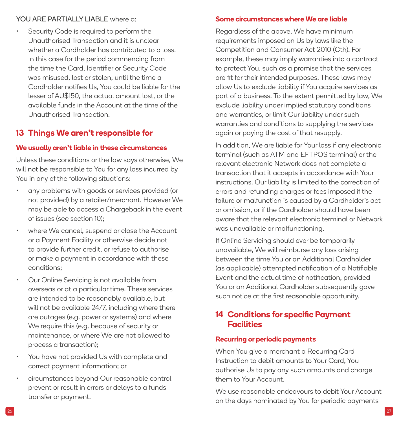#### <span id="page-13-0"></span>YOU ARE PARTIALLY LIABLE where a:

Security Code is required to perform the Unauthorised Transaction and it is unclear whether a Cardholder has contributed to a loss. In this case for the period commencing from the time the Card, Identifier or Security Code was misused, lost or stolen, until the time a Cardholder notifies Us, You could be liable for the lesser of AU\$150, the actual amount lost, or the available funds in the Account at the time of the Unauthorised Transaction.

## **13 Things We aren't responsible for**

#### **We usually aren't liable in these circumstances**

Unless these conditions or the law says otherwise, We will not be responsible to You for any loss incurred by You in any of the following situations:

- any problems with goods or services provided (or not provided) by a retailer/merchant. However We may be able to access a Chargeback in the event of issues (see section 10);
- where We cancel, suspend or close the Account or a Payment Facility or otherwise decide not to provide further credit, or refuse to authorise or make a payment in accordance with these conditions;
- Our Online Servicing is not available from overseas or at a particular time. These services are intended to be reasonably available, but will not be available 24/7, including where there are outages (e.g. power or systems) and where We require this (e.g. because of security or maintenance, or where We are not allowed to process a transaction);
- You have not provided Us with complete and correct payment information; or
- circumstances beyond Our reasonable control prevent or result in errors or delays to a funds transfer or payment.

#### **Some circumstances where We are liable**

Regardless of the above, We have minimum requirements imposed on Us by laws like the Competition and Consumer Act 2010 (Cth). For example, these may imply warranties into a contract to protect You, such as a promise that the services are fit for their intended purposes. These laws may allow Us to exclude liability if You acquire services as part of a business. To the extent permitted by law, We exclude liability under implied statutory conditions and warranties, or limit Our liability under such warranties and conditions to supplying the services again or paying the cost of that resupply.

In addition, We are liable for Your loss if any electronic terminal (such as ATM and EFTPOS terminal) or the relevant electronic Network does not complete a transaction that it accepts in accordance with Your instructions. Our liability is limited to the correction of errors and refunding charges or fees imposed if the failure or malfunction is caused by a Cardholder's act or omission, or if the Cardholder should have been aware that the relevant electronic terminal or Network was unavailable or malfunctioning.

If Online Servicing should ever be temporarily unavailable, We will reimburse any loss arising between the time You or an Additional Cardholder (as applicable) attempted notification of a Notifiable Event and the actual time of notification, provided You or an Additional Cardholder subsequently gave such notice at the first reasonable opportunity.

## **14 Conditions for specific Payment Facilities**

#### **Recurring or periodic payments**

When You give a merchant a Recurring Card Instruction to debit amounts to Your Card, You authorise Us to pay any such amounts and charge them to Your Account.

We use reasonable endeavours to debit Your Account on the days nominated by You for periodic payments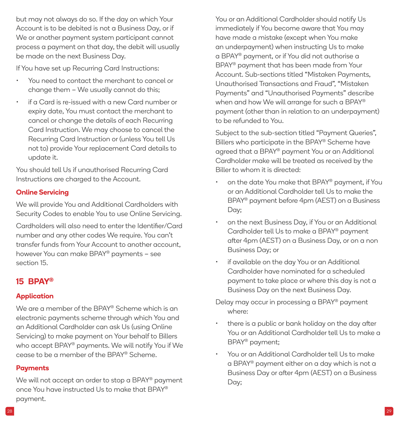<span id="page-14-0"></span>but may not always do so. If the day on which Your Account is to be debited is not a Business Day, or if We or another payment system participant cannot process a payment on that day, the debit will usually be made on the next Business Day.

If You have set up Recurring Card Instructions:

- You need to contact the merchant to cancel or change them – We usually cannot do this;
- if a Card is re-issued with a new Card number or expiry date, You must contact the merchant to cancel or change the details of each Recurring Card Instruction. We may choose to cancel the Recurring Card Instruction or (unless You tell Us not to) provide Your replacement Card details to update it.

You should tell Us if unauthorised Recurring Card Instructions are charged to the Account.

## **Online Servicing**

We will provide You and Additional Cardholders with Security Codes to enable You to use Online Servicing.

Cardholders will also need to enter the Identifier/Card number and any other codes We require. You can't transfer funds from Your Account to another account, however You can make BPAY® payments – see section 15.

## **15 BPAY®**

## **Application**

We are a member of the BPAY® Scheme which is an electronic payments scheme through which You and an Additional Cardholder can ask Us (using Online Servicing) to make payment on Your behalf to Billers who accept BPAY® payments. We will notify You if We cease to be a member of the BPAY® Scheme.

## **Payments**

We will not accept an order to stop a BPAY® payment once You have instructed Us to make that BPAY® payment.

You or an Additional Cardholder should notify Us immediately if You become aware that You may have made a mistake (except when You make an underpayment) when instructing Us to make a BPAY® payment, or if You did not authorise a BPAY® payment that has been made from Your Account. Sub-sections titled "Mistaken Payments, Unauthorised Transactions and Fraud", "Mistaken Payments" and "Unauthorised Payments" describe when and how We will arrange for such a BPAY® payment (other than in relation to an underpayment) to be refunded to You.

Subject to the sub-section titled "Payment Queries", Billers who participate in the BPAY® Scheme have agreed that a BPAY® payment You or an Additional Cardholder make will be treated as received by the Biller to whom it is directed:

- on the date You make that BPAY® payment, if You or an Additional Cardholder tell Us to make the BPAY® payment before 4pm (AEST) on a Business Day;
- on the next Business Day, if You or an Additional Cardholder tell Us to make a BPAY® payment after 4pm (AEST) on a Business Day, or on a non Business Day; or
- if available on the day You or an Additional Cardholder have nominated for a scheduled payment to take place or where this day is not a Business Day on the next Business Day.

Delay may occur in processing a BPAY® payment where:

- there is a public or bank holiday on the day after You or an Additional Cardholder tell Us to make a BPAY® payment;
- You or an Additional Cardholder tell Us to make a BPAY® payment either on a day which is not a Business Day or after 4pm (AEST) on a Business Day;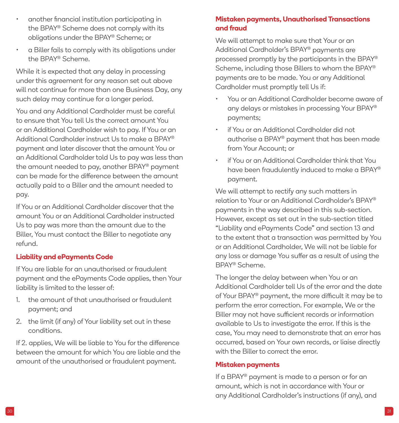- another financial institution participating in the BPAY® Scheme does not comply with its obligations under the BPAY® Scheme; or
- a Biller fails to comply with its obligations under the BPAY® Scheme.

While it is expected that any delay in processing under this agreement for any reason set out above will not continue for more than one Business Day, any such delay may continue for a longer period.

You and any Additional Cardholder must be careful to ensure that You tell Us the correct amount You or an Additional Cardholder wish to pay. If You or an Additional Cardholder instruct Us to make a BPAY® payment and later discover that the amount You or an Additional Cardholder told Us to pay was less than the amount needed to pay, another BPAY® payment can be made for the difference between the amount actually paid to a Biller and the amount needed to pay.

If You or an Additional Cardholder discover that the amount You or an Additional Cardholder instructed Us to pay was more than the amount due to the Biller, You must contact the Biller to negotiate any refund.

#### **Liability and ePayments Code**

If You are liable for an unauthorised or fraudulent payment and the ePayments Code applies, then Your liability is limited to the lesser of:

- 1. the amount of that unauthorised or fraudulent payment; and
- 2. the limit (if any) of Your liability set out in these conditions.

If 2. applies, We will be liable to You for the difference between the amount for which You are liable and the amount of the unauthorised or fraudulent payment.

## **Mistaken payments, Unauthorised Transactions and fraud**

We will attempt to make sure that Your or an Additional Cardholder's BPAY® payments are processed promptly by the participants in the BPAY® Scheme, including those Billers to whom the BPAY® payments are to be made. You or any Additional Cardholder must promptly tell Us if:

- You or an Additional Cardholder become aware of any delays or mistakes in processing Your BPAY® payments;
- if You or an Additional Cardholder did not authorise a BPAY® payment that has been made from Your Account; or
- if You or an Additional Cardholder think that You have been fraudulently induced to make a BPAY® payment.

We will attempt to rectify any such matters in relation to Your or an Additional Cardholder's BPAY® payments in the way described in this sub-section. However, except as set out in the sub-section titled "Liability and ePayments Code" and section 13 and to the extent that a transaction was permitted by You or an Additional Cardholder, We will not be liable for any loss or damage You suffer as a result of using the BPAY® Scheme.

The longer the delay between when You or an Additional Cardholder tell Us of the error and the date of Your BPAY® payment, the more difficult it may be to perform the error correction. For example, We or the Biller may not have sufficient records or information available to Us to investigate the error. If this is the case, You may need to demonstrate that an error has occurred, based on Your own records, or liaise directly with the Biller to correct the error.

#### **Mistaken payments**

If a BPAY® payment is made to a person or for an amount, which is not in accordance with Your or any Additional Cardholder's instructions (if any), and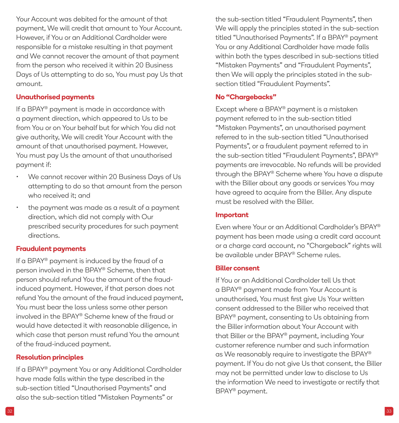Your Account was debited for the amount of that payment, We will credit that amount to Your Account. However, if You or an Additional Cardholder were responsible for a mistake resulting in that payment and We cannot recover the amount of that payment from the person who received it within 20 Business Days of Us attempting to do so, You must pay Us that amount.

#### **Unauthorised payments**

If a BPAY® payment is made in accordance with a payment direction, which appeared to Us to be from You or on Your behalf but for which You did not give authority, We will credit Your Account with the amount of that unauthorised payment. However, You must pay Us the amount of that unauthorised payment if:

- We cannot recover within 20 Business Days of Us attempting to do so that amount from the person who received it; and
- the payment was made as a result of a payment direction, which did not comply with Our prescribed security procedures for such payment directions.

#### **Fraudulent payments**

If a BPAY® payment is induced by the fraud of a person involved in the BPAY® Scheme, then that person should refund You the amount of the fraudinduced payment. However, if that person does not refund You the amount of the fraud induced payment, You must bear the loss unless some other person involved in the BPAY® Scheme knew of the fraud or would have detected it with reasonable diligence, in which case that person must refund You the amount of the fraud-induced payment.

#### **Resolution principles**

If a BPAY® payment You or any Additional Cardholder have made falls within the type described in the sub-section titled "Unauthorised Payments" and also the sub-section titled "Mistaken Payments" or

the sub-section titled "Fraudulent Payments", then We will apply the principles stated in the sub-section titled "Unauthorised Payments". If a BPAY® payment You or any Additional Cardholder have made falls within both the types described in sub-sections titled "Mistaken Payments" and "Fraudulent Payments", then We will apply the principles stated in the subsection titled "Fraudulent Payments".

#### **No "Chargebacks"**

Except where a BPAY® payment is a mistaken payment referred to in the sub-section titled "Mistaken Payments", an unauthorised payment referred to in the sub-section titled "Unauthorised Payments", or a fraudulent payment referred to in the sub-section titled "Fraudulent Payments", BPAY® payments are irrevocable. No refunds will be provided through the BPAY® Scheme where You have a dispute with the Biller about any goods or services You may have agreed to acquire from the Biller. Any dispute must be resolved with the Biller.

#### **Important**

Even where Your or an Additional Cardholder's BPAY® payment has been made using a credit card account or a charge card account, no "Chargeback" rights will be available under BPAY® Scheme rules.

#### **Biller consent**

If You or an Additional Cardholder tell Us that a BPAY® payment made from Your Account is unauthorised, You must first give Us Your written consent addressed to the Biller who received that BPAY® payment, consenting to Us obtaining from the Biller information about Your Account with that Biller or the BPAY® payment, including Your customer reference number and such information as We reasonably require to investigate the BPAY® payment. If You do not give Us that consent, the Biller may not be permitted under law to disclose to Us the information We need to investigate or rectify that BPAY® payment.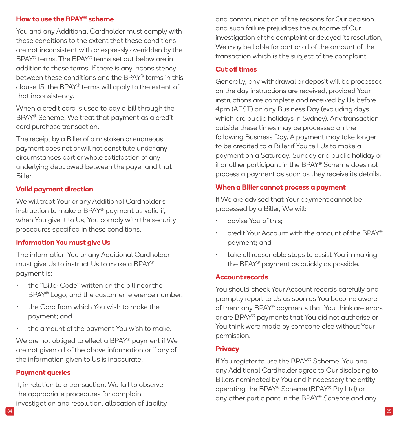#### **How to use the BPAY® scheme**

You and any Additional Cardholder must comply with these conditions to the extent that these conditions are not inconsistent with or expressly overridden by the BPAY® terms. The BPAY® terms set out below are in addition to those terms. If there is any inconsistency between these conditions and the BPAY® terms in this clause 15, the BPAY® terms will apply to the extent of that inconsistency.

When a credit card is used to pay a bill through the BPAY® Scheme, We treat that payment as a credit card purchase transaction.

The receipt by a Biller of a mistaken or erroneous payment does not or will not constitute under any circumstances part or whole satisfaction of any underlying debt owed between the payer and that Biller.

#### **Valid payment direction**

We will treat Your or any Additional Cardholder's instruction to make a BPAY® payment as valid if, when You give it to Us, You comply with the security procedures specified in these conditions.

#### **Information You must give Us**

The information You or any Additional Cardholder must give Us to instruct Us to make a BPAY® payment is:

- the "Biller Code" written on the bill near the BPAY® Logo, and the customer reference number;
- the Card from which You wish to make the payment; and
- the amount of the payment You wish to make.

We are not obliged to effect a BPAY® payment if We are not given all of the above information or if any of the information given to Us is inaccurate.

#### **Payment queries**

If, in relation to a transaction, We fail to observe the appropriate procedures for complaint investigation and resolution, allocation of liability and communication of the reasons for Our decision, and such failure prejudices the outcome of Our investigation of the complaint or delayed its resolution, We may be liable for part or all of the amount of the transaction which is the subject of the complaint.

#### **Cut off times**

Generally, any withdrawal or deposit will be processed on the day instructions are received, provided Your instructions are complete and received by Us before 4pm (AEST) on any Business Day (excluding days which are public holidays in Sydney). Any transaction outside these times may be processed on the following Business Day. A payment may take longer to be credited to a Biller if You tell Us to make a payment on a Saturday, Sunday or a public holiday or if another participant in the BPAY® Scheme does not process a payment as soon as they receive its details.

#### **When a Biller cannot process a payment**

If We are advised that Your payment cannot be processed by a Biller, We will:

- advise You of this;
- credit Your Account with the amount of the BPAY® payment; and
- take all reasonable steps to assist You in making the BPAY® payment as quickly as possible.

#### **Account records**

You should check Your Account records carefully and promptly report to Us as soon as You become aware of them any BPAY® payments that You think are errors or are BPAY® payments that You did not authorise or You think were made by someone else without Your permission.

#### **Privacy**

If You register to use the BPAY® Scheme, You and any Additional Cardholder agree to Our disclosing to Billers nominated by You and if necessary the entity operating the BPAY® Scheme (BPAY® Pty Ltd) or any other participant in the BPAY® Scheme and any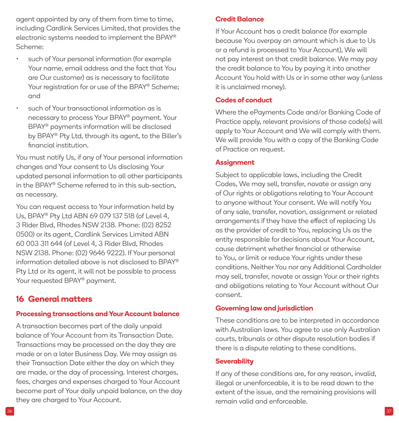<span id="page-18-0"></span>agent appointed by any of them from time to time, including Cardlink Services Limited, that provides the electronic systems needed to implement the BPAY® Scheme:

- such of Your personal information (for example Your name, email address and the fact that You are Our customer) as is necessary to facilitate Your registration for or use of the BPAY® Scheme: and
- such of Your transactional information as is necessary to process Your BPAY® payment. Your BPAY® payments information will be disclosed by BPAY® Pty Ltd, through its agent, to the Biller's financial institution.

You must notify Us, if any of Your personal information changes and Your consent to Us disclosing Your updated personal information to all other participants in the BPAY® Scheme referred to in this sub-section, as necessary.

You can request access to Your information held by Us, BPAY® Pty Ltd ABN 69 079 137 518 (of Level 4, 3 Rider Blvd, Rhodes NSW 2138. Phone: (02) 8252 0500) or its agent, Cardlink Services Limited ABN 60 003 311 644 (of Level 4, 3 Rider Blvd, Rhodes NSW 2138. Phone: (02) 9646 9222). If Your personal information detailed above is not disclosed to BPAY® Pty Ltd or its agent, it will not be possible to process Your requested BPAY<sup>®</sup> payment.

## **16 General matters**

## **Processing transactions and Your Account balance**

A transaction becomes part of the daily unpaid balance of Your Account from its Transaction Date. Transactions may be processed on the day they are made or on a later Business Day. We may assign as their Transaction Date either the day on which they are made, or the day of processing. Interest charges, fees, charges and expenses charged to Your Account become part of Your daily unpaid balance, on the day they are charged to Your Account.

#### **Credit Balance**

If Your Account has a credit balance (for example because You overpay an amount which is due to Us or a refund is processed to Your Account), We will not pay interest on that credit balance. We may pay the credit balance to You by paying it into another Account You hold with Us or in some other way (unless it is unclaimed money).

#### **Codes of conduct**

Where the ePayments Code and/or Banking Code of Practice apply, relevant provisions of those code(s) will apply to Your Account and We will comply with them. We will provide You with a copy of the Banking Code of Practice on request.

#### **Assignment**

Subject to applicable laws, including the Credit Codes, We may sell, transfer, novate or assign any of Our rights or obligations relating to Your Account to anyone without Your consent. We will notify You of any sale, transfer, novation, assignment or related arrangements if they have the effect of replacing Us as the provider of credit to You, replacing Us as the entity responsible for decisions about Your Account, cause detriment whether financial or otherwise to You, or limit or reduce Your rights under these conditions. Neither You nor any Additional Cardholder may sell, transfer, novate or assign Your or their rights and obligations relating to Your Account without Our consent.

#### **Governing law and jurisdiction**

These conditions are to be interpreted in accordance with Australian laws. You agree to use only Australian courts, tribunals or other dispute resolution bodies if there is a dispute relating to these conditions.

#### **Severability**

If any of these conditions are, for any reason, invalid, illegal or unenforceable, it is to be read down to the extent of the issue, and the remaining provisions will remain valid and enforceable.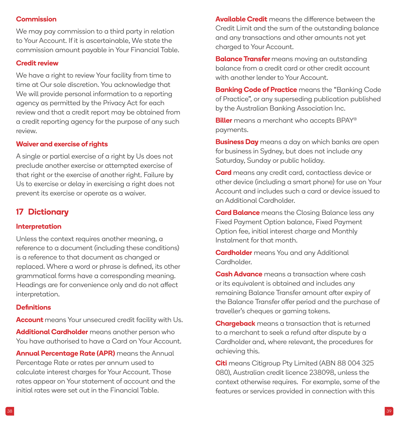#### <span id="page-19-0"></span>**Commission**

We may pay commission to a third party in relation to Your Account. If it is ascertainable, We state the commission amount payable in Your Financial Table.

#### **Credit review**

We have a right to review Your facility from time to time at Our sole discretion. You acknowledge that We will provide personal information to a reporting agency as permitted by the Privacy Act for each review and that a credit report may be obtained from a credit reporting agency for the purpose of any such review.

#### **Waiver and exercise of rights**

A single or partial exercise of a right by Us does not preclude another exercise or attempted exercise of that right or the exercise of another right. Failure by Us to exercise or delay in exercising a right does not prevent its exercise or operate as a waiver.

## **17 Dictionary**

#### **Interpretation**

Unless the context requires another meaning, a reference to a document (including these conditions) is a reference to that document as changed or replaced. Where a word or phrase is defined, its other grammatical forms have a corresponding meaning. Headings are for convenience only and do not affect interpretation.

#### **Definitions**

**Account** means Your unsecured credit facility with Us.

**Additional Cardholder** means another person who You have authorised to have a Card on Your Account.

**Annual Percentage Rate (APR)** means the Annual Percentage Rate or rates per annum used to calculate interest charges for Your Account. Those rates appear on Your statement of account and the initial rates were set out in the Financial Table.

**Available Credit** means the difference between the Credit Limit and the sum of the outstanding balance and any transactions and other amounts not yet charged to Your Account.

**Balance Transfer** means moving an outstanding balance from a credit card or other credit account with another lender to Your Account.

**Banking Code of Practice** means the "Banking Code of Practice", or any superseding publication published by the Australian Banking Association Inc.

**Biller** means a merchant who accepts BPAY® payments.

**Business Day** means a day on which banks are open for business in Sydney, but does not include any Saturday, Sunday or public holiday.

**Card** means any credit card, contactless device or other device (including a smart phone) for use on Your Account and includes such a card or device issued to an Additional Cardholder.

**Card Balance** means the Closing Balance less any Fixed Payment Option balance, Fixed Payment Option fee, initial interest charge and Monthly Instalment for that month.

**Cardholder** means You and any Additional Cardholder.

**Cash Advance** means a transaction where cash or its equivalent is obtained and includes any remaining Balance Transfer amount after expiry of the Balance Transfer offer period and the purchase of traveller's cheques or gaming tokens.

**Chargeback** means a transaction that is returned to a merchant to seek a refund after dispute by a Cardholder and, where relevant, the procedures for achieving this.

**Citi** means Citigroup Pty Limited (ABN 88 004 325 080), Australian credit licence 238098, unless the context otherwise requires. For example, some of the features or services provided in connection with this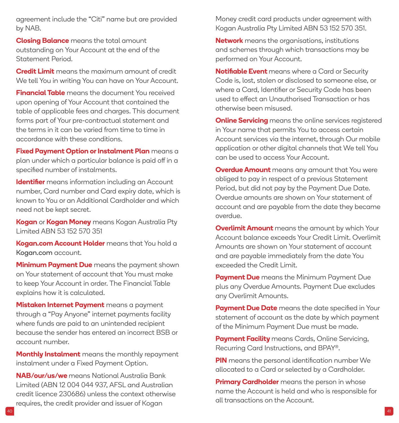agreement include the "Citi" name but are provided by NAB.

**Closing Balance** means the total amount outstanding on Your Account at the end of the Statement Period.

**Credit Limit** means the maximum amount of credit We tell You in writing You can have on Your Account.

**Financial Table** means the document You received upon opening of Your Account that contained the table of applicable fees and charges. This document forms part of Your pre-contractual statement and the terms in it can be varied from time to time in accordance with these conditions.

**Fixed Payment Option or Instalment Plan** means a plan under which a particular balance is paid off in a specified number of instalments.

**Identifier** means information including an Account number, Card number and Card expiry date, which is known to You or an Additional Cardholder and which need not be kept secret.

**Kogan** or **Kogan Money** means Kogan Australia Pty Limited ABN 53 152 570 351

**[Kogan.com](http://Kogan.com) Account Holder** means that You hold a [Kogan.com](http://Kogan.com) account.

**Minimum Payment Due** means the payment shown on Your statement of account that You must make to keep Your Account in order. The Financial Table explains how it is calculated.

**Mistaken Internet Payment** means a payment through a "Pay Anyone" internet payments facility where funds are paid to an unintended recipient because the sender has entered an incorrect BSB or account number.

**Monthly Instalment** means the monthly repayment instalment under a Fixed Payment Option.

**NAB/our/us/we** means National Australia Bank Limited (ABN 12 004 044 937, AFSL and Australian credit licence 230686) unless the context otherwise requires, the credit provider and issuer of Kogan

Money credit card products under agreement with Kogan Australia Pty Limited ABN 53 152 570 351.

**Network** means the organisations, institutions and schemes through which transactions may be performed on Your Account.

**Notifiable Event** means where a Card or Security Code is, lost, stolen or disclosed to someone else, or where a Card, Identifier or Security Code has been used to effect an Unauthorised Transaction or has otherwise been misused.

**Online Servicing** means the online services registered in Your name that permits You to access certain Account services via the internet, through Our mobile application or other digital channels that We tell You can be used to access Your Account.

**Overdue Amount** means any amount that You were obliged to pay in respect of a previous Statement Period, but did not pay by the Payment Due Date. Overdue amounts are shown on Your statement of account and are payable from the date they became overdue.

**Overlimit Amount** means the amount by which Your Account balance exceeds Your Credit Limit. Overlimit Amounts are shown on Your statement of account and are payable immediately from the date You exceeded the Credit Limit.

**Payment Due** means the Minimum Payment Due plus any Overdue Amounts. Payment Due excludes any Overlimit Amounts.

**Payment Due Date** means the date specified in Your statement of account as the date by which payment of the Minimum Payment Due must be made.

**Payment Facility** means Cards, Online Servicing, Recurring Card Instructions, and BPAY®.

**PIN** means the personal identification number We allocated to a Card or selected by a Cardholder.

**Primary Cardholder** means the person in whose name the Account is held and who is responsible for all transactions on the Account.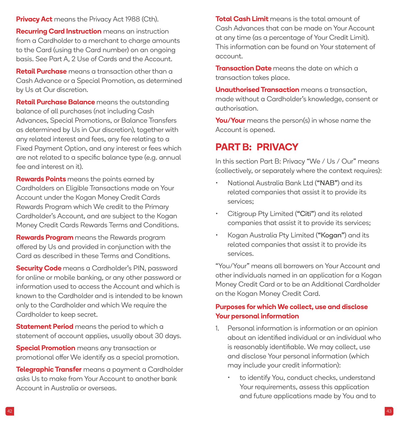<span id="page-21-0"></span>**Privacy Act** means the Privacy Act 1988 (Cth).

**Recurring Card Instruction** means an instruction from a Cardholder to a merchant to charge amounts to the Card (using the Card number) on an ongoing basis. See Part A, 2 Use of Cards and the Account.

**Retail Purchase** means a transaction other than a Cash Advance or a Special Promotion, as determined by Us at Our discretion.

**Retail Purchase Balance** means the outstanding balance of all purchases (not including Cash Advances, Special Promotions, or Balance Transfers as determined by Us in Our discretion), together with any related interest and fees, any fee relating to a Fixed Payment Option, and any interest or fees which are not related to a specific balance type (e.g. annual fee and interest on it).

**Rewards Points** means the points earned by Cardholders on Eligible Transactions made on Your Account under the Kogan Money Credit Cards Rewards Program which We credit to the Primary Cardholder's Account, and are subject to the Kogan Money Credit Cards Rewards Terms and Conditions.

**Rewards Program** means the Rewards program offered by Us and provided in conjunction with the Card as described in these Terms and Conditions.

**Security Code** means a Cardholder's PIN, password for online or mobile banking, or any other password or information used to access the Account and which is known to the Cardholder and is intended to be known only to the Cardholder and which We require the Cardholder to keep secret.

**Statement Period** means the period to which a statement of account applies, usually about 30 days.

**Special Promotion** means any transaction or promotional offer We identify as a special promotion.

**Telegraphic Transfer** means a payment a Cardholder asks Us to make from Your Account to another bank Account in Australia or overseas.

**Total Cash Limit** means is the total amount of Cash Advances that can be made on Your Account at any time (as a percentage of Your Credit Limit). This information can be found on Your statement of account.

**Transaction Date** means the date on which a transaction takes place.

**Unauthorised Transaction** means a transaction, made without a Cardholder's knowledge, consent or authorisation.

**You/Your** means the person(s) in whose name the Account is opened.

# **PART B: PRIVACY**

In this section Part B: Privacy "We / Us / Our" means (collectively, or separately where the context requires):

- National Australia Bank Ltd ("NAB") and its related companies that assist it to provide its services;
- Citigroup Pty Limited ("Citi") and its related companies that assist it to provide its services;
- Kogan Australia Pty Limited ("Kogan") and its related companies that assist it to provide its services.

"You/Your" means all borrowers on Your Account and other individuals named in an application for a Kogan Money Credit Card or to be an Additional Cardholder on the Kogan Money Credit Card.

## **Purposes for which We collect, use and disclose Your personal information**

- 1. Personal information is information or an opinion about an identified individual or an individual who is reasonably identifiable. We may collect, use and disclose Your personal information (which may include your credit information):
	- to identify You, conduct checks, understand Your requirements, assess this application and future applications made by You and to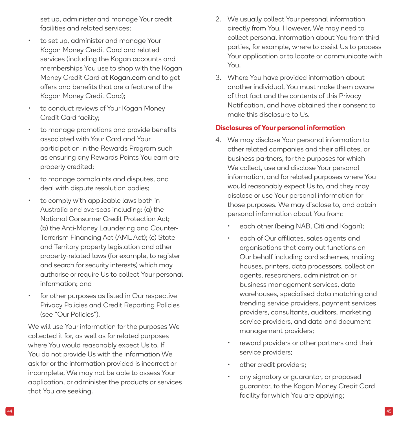set up, administer and manage Your credit facilities and related services;

- to set up, administer and manage Your Kogan Money Credit Card and related services (including the Kogan accounts and memberships You use to shop with the Kogan Money Credit Card at [Kogan.com](http://Kogan.com) and to get offers and benefits that are a feature of the Kogan Money Credit Card);
- to conduct reviews of Your Kogan Money Credit Card facility;
- to manage promotions and provide benefits associated with Your Card and Your participation in the Rewards Program such as ensuring any Rewards Points You earn are properly credited;
- to manage complaints and disputes, and deal with dispute resolution bodies;
- to comply with applicable laws both in Australia and overseas including: (a) the National Consumer Credit Protection Act; (b) the Anti-Money Laundering and Counter-Terrorism Financing Act (AML Act); (c) State and Territory property legislation and other property-related laws (for example, to register and search for security interests) which may authorise or require Us to collect Your personal information; and
- for other purposes as listed in Our respective Privacy Policies and Credit Reporting Policies (see "Our Policies").

We will use Your information for the purposes We collected it for, as well as for related purposes where You would reasonably expect Us to. If You do not provide Us with the information We ask for or the information provided is incorrect or incomplete, We may not be able to assess Your application, or administer the products or services that You are seeking.

- 2. We usually collect Your personal information directly from You. However, We may need to collect personal information about You from third parties, for example, where to assist Us to process Your application or to locate or communicate with You.
- 3. Where You have provided information about another individual, You must make them aware of that fact and the contents of this Privacy Notification, and have obtained their consent to make this disclosure to Us.

#### **Disclosures of Your personal information**

- 4. We may disclose Your personal information to other related companies and their affiliates, or business partners, for the purposes for which We collect, use and disclose Your personal information, and for related purposes where You would reasonably expect Us to, and they may disclose or use Your personal information for those purposes. We may disclose to, and obtain personal information about You from:
	- each other (being NAB, Citi and Kogan);
	- each of Our affiliates, sales agents and organisations that carry out functions on Our behalf including card schemes, mailing houses, printers, data processors, collection agents, researchers, administration or business management services, data warehouses, specialised data matching and trending service providers, payment services providers, consultants, auditors, marketing service providers, and data and document management providers;
	- reward providers or other partners and their service providers;
	- other credit providers;
	- any signatory or guarantor, or proposed guarantor, to the Kogan Money Credit Card facility for which You are applying;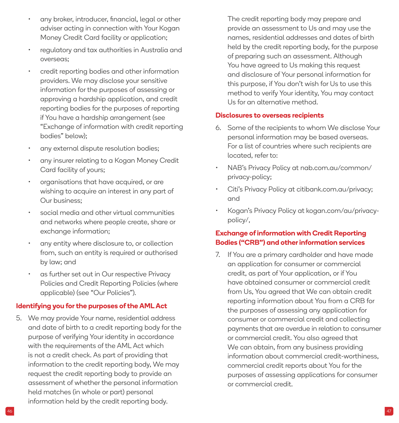- any broker, introducer, financial, legal or other adviser acting in connection with Your Kogan Money Credit Card facility or application;
- regulatory and tax authorities in Australia and overseas;
- credit reporting bodies and other information providers. We may disclose your sensitive information for the purposes of assessing or approving a hardship application, and credit reporting bodies for the purposes of reporting if You have a hardship arrangement (see "Exchange of information with credit reporting bodies" below);
- any external dispute resolution bodies;
- any insurer relating to a Kogan Money Credit Card facility of yours;
- organisations that have acquired, or are wishing to acquire an interest in any part of Our business;
- social media and other virtual communities and networks where people create, share or exchange information;
- any entity where disclosure to, or collection from, such an entity is required or authorised by law; and
- as further set out in Our respective Privacy Policies and Credit Reporting Policies (where applicable) (see "Our Policies").

#### **Identifying you for the purposes of the AML Act**

5. We may provide Your name, residential address and date of birth to a credit reporting body for the purpose of verifying Your identity in accordance with the requirements of the AML Act which is not a credit check. As part of providing that information to the credit reporting body, We may request the credit reporting body to provide an assessment of whether the personal information held matches (in whole or part) personal information held by the credit reporting body.

The credit reporting body may prepare and provide an assessment to Us and may use the names, residential addresses and dates of birth held by the credit reporting body, for the purpose of preparing such an assessment. Although You have agreed to Us making this request and disclosure of Your personal information for this purpose, if You don't wish for Us to use this method to verify Your identity, You may contact Us for an alternative method.

#### **Disclosures to overseas recipients**

- 6. Some of the recipients to whom We disclose Your personal information may be based overseas. For a list of countries where such recipients are located, refer to:
- NAB's Privacy Policy at nab.com.au/common/ privacy-policy;
- Citi's Privacy Policy at citibank.com.au/privacy; and
- Kogan's Privacy Policy at kogan.com/au/privacypolicy/,

## **Exchange of information with Credit Reporting Bodies ("CRB") and other information services**

7. If You are a primary cardholder and have made an application for consumer or commercial credit, as part of Your application, or if You have obtained consumer or commercial credit from Us, You agreed that We can obtain credit reporting information about You from a CRB for the purposes of assessing any application for consumer or commercial credit and collecting payments that are overdue in relation to consumer or commercial credit. You also agreed that We can obtain, from any business providing information about commercial credit-worthiness, commercial credit reports about You for the purposes of assessing applications for consumer or commercial credit.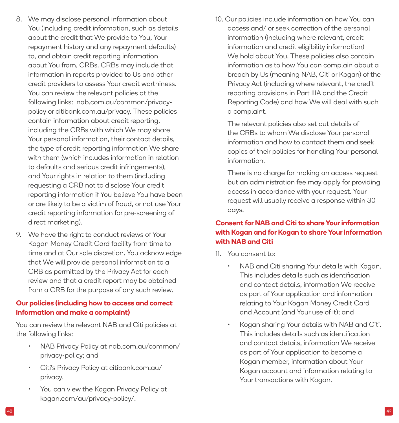- 8. We may disclose personal information about You (including credit information, such as details about the credit that We provide to You, Your repayment history and any repayment defaults) to, and obtain credit reporting information about You from, CRBs. CRBs may include that information in reports provided to Us and other credit providers to assess Your credit worthiness. You can review the relevant policies at the following links: nab.com.au/common/privacypolicy or citibank.com.au/privacy. These policies contain information about credit reporting, including the CRBs with which We may share Your personal information, their contact details, the type of credit reporting information We share with them (which includes information in relation to defaults and serious credit infringements), and Your rights in relation to them (including requesting a CRB not to disclose Your credit reporting information if You believe You have been or are likely to be a victim of fraud, or not use Your credit reporting information for pre-screening of direct marketing).
- 9. We have the right to conduct reviews of Your Kogan Money Credit Card facility from time to time and at Our sole discretion. You acknowledge that We will provide personal information to a CRB as permitted by the Privacy Act for each review and that a credit report may be obtained from a CRB for the purpose of any such review.

#### **Our policies (including how to access and correct information and make a complaint)**

You can review the relevant NAB and Citi policies at the following links:

- NAB Privacy Policy at nab.com.au/common/ privacy-policy; and
- Citi's Privacy Policy at citibank.com.au/ privacy.
- You can view the Kogan Privacy Policy at kogan.com/au/privacy-policy/.

10. Our policies include information on how You can access and/ or seek correction of the personal information (including where relevant, credit information and credit eligibility information) We hold about You. These policies also contain information as to how You can complain about a breach by Us (meaning NAB, Citi or Kogan) of the Privacy Act (including where relevant, the credit reporting provisions in Part IIIA and the Credit Reporting Code) and how We will deal with such a complaint.

The relevant policies also set out details of the CRBs to whom We disclose Your personal information and how to contact them and seek copies of their policies for handling Your personal information.

There is no charge for making an access request but an administration fee may apply for providing access in accordance with your request. Your request will usually receive a response within 30 days.

## **Consent for NAB and Citi to share Your information with Kogan and for Kogan to share Your information with NAB and Citi**

- 11. You consent to:
	- NAB and Citi sharing Your details with Kogan. This includes details such as identification and contact details, information We receive as part of Your application and information relating to Your Kogan Money Credit Card and Account (and Your use of it); and
	- Kogan sharing Your details with NAB and Citi. This includes details such as identification and contact details, information We receive as part of Your application to become a Kogan member, information about Your Kogan account and information relating to Your transactions with Kogan.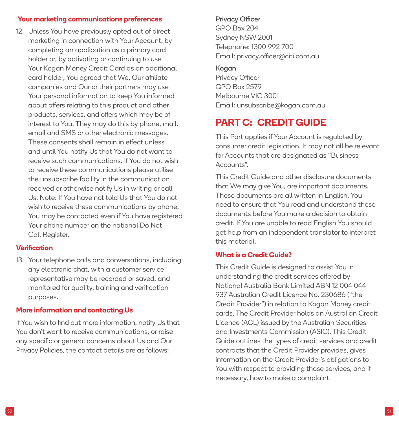#### <span id="page-25-0"></span>**Your marketing communications preferences**

12. Unless You have previously opted out of direct marketing in connection with Your Account, by completing an application as a primary card holder or, by activating or continuing to use Your Kogan Money Credit Card as an additional card holder, You agreed that We, Our affiliate companies and Our or their partners may use Your personal information to keep You informed about offers relating to this product and other products, services, and offers which may be of interest to You. They may do this by phone, mail, email and SMS or other electronic messages. These consents shall remain in effect unless and until You notify Us that You do not want to receive such communications. If You do not wish to receive these communications please utilise the unsubscribe facility in the communication received or otherwise notify Us in writing or call Us. Note: If You have not told Us that You do not wish to receive these communications by phone, You may be contacted even if You have registered Your phone number on the national Do Not Call Register.

#### **Verification**

13. Your telephone calls and conversations, including any electronic chat, with a customer service representative may be recorded or saved, and monitored for quality, training and verification purposes.

## **More information and contacting Us**

If You wish to find out more information, notify Us that You don't want to receive communications, or raise any specific or general concerns about Us and Our Privacy Policies, the contact details are as follows:

#### Privacy Officer

GPO Box 204 Sydney NSW 2001 Telephone: 1300 992 700 Email: [privacy.officer@citi.com.au](mailto:privacy.officer%40citi.com.au?subject=)

#### Kogan

Privacy Officer GPO Box 2579 Melbourne VIC 3001 Email: [unsubscribe@kogan.com.au](mailto:unsubscribe%40kogan.com.au?subject=)

# **PART C: CREDIT GUIDE**

This Part applies if Your Account is regulated by consumer credit legislation. It may not all be relevant for Accounts that are designated as "Business Accounts".

This Credit Guide and other disclosure documents that We may give You, are important documents. These documents are all written in English. You need to ensure that You read and understand these documents before You make a decision to obtain credit. If You are unable to read English You should get help from an independent translator to interpret this material.

## **What is a Credit Guide?**

This Credit Guide is designed to assist You in understanding the credit services offered by National Australia Bank Limited ABN 12 004 044 937 Australian Credit Licence No. 230686 ("the Credit Provider") in relation to Kogan Money credit cards. The Credit Provider holds an Australian Credit Licence (ACL) issued by the Australian Securities and Investments Commission (ASIC). This Credit Guide outlines the types of credit services and credit contracts that the Credit Provider provides, gives information on the Credit Provider's obligations to You with respect to providing those services, and if necessary, how to make a complaint.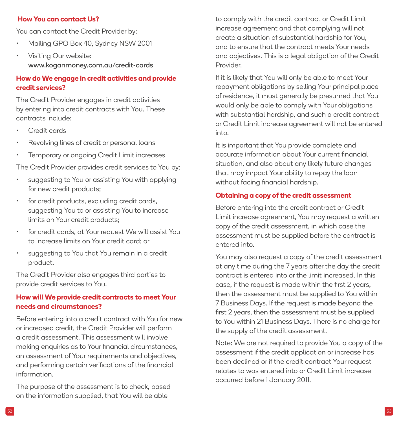#### **How You can contact Us?**

You can contact the Credit Provider by:

- Mailing GPO Box 40, Sydney NSW 2001
- Visiting Our website: [www.koganmoney.com.au/credit-cards](http://www.koganmoney.com.au/credit-cards)

## **How do We engage in credit activities and provide credit services?**

The Credit Provider engages in credit activities by entering into credit contracts with You. These contracts include:

- Credit cards
- Revolving lines of credit or personal loans
- Temporary or ongoing Credit Limit increases

The Credit Provider provides credit services to You by:

- suggesting to You or assisting You with applying for new credit products;
- for credit products, excluding credit cards, suggesting You to or assisting You to increase limits on Your credit products;
- for credit cards, at Your request We will assist You to increase limits on Your credit card; or
- suggesting to You that You remain in a credit product.

The Credit Provider also engages third parties to provide credit services to You.

#### **How will We provide credit contracts to meet Your needs and circumstances?**

Before entering into a credit contract with You for new or increased credit, the Credit Provider will perform a credit assessment. This assessment will involve making enquiries as to Your financial circumstances, an assessment of Your requirements and objectives, and performing certain verifications of the financial information.

The purpose of the assessment is to check, based on the information supplied, that You will be able

to comply with the credit contract or Credit Limit increase agreement and that complying will not create a situation of substantial hardship for You, and to ensure that the contract meets Your needs and objectives. This is a legal obligation of the Credit Provider.

If it is likely that You will only be able to meet Your repayment obligations by selling Your principal place of residence, it must generally be presumed that You would only be able to comply with Your obligations with substantial hardship, and such a credit contract or Credit Limit increase agreement will not be entered into.

It is important that You provide complete and accurate information about Your current financial situation, and also about any likely future changes that may impact Your ability to repay the loan without facing financial hardship.

#### **Obtaining a copy of the credit assessment**

Before entering into the credit contract or Credit Limit increase agreement, You may request a written copy of the credit assessment, in which case the assessment must be supplied before the contract is entered into.

You may also request a copy of the credit assessment at any time during the 7 years after the day the credit contract is entered into or the limit increased. In this case, if the request is made within the first 2 years, then the assessment must be supplied to You within 7 Business Days. If the request is made beyond the first 2 years, then the assessment must be supplied to You within 21 Business Days. There is no charge for the supply of the credit assessment.

Note: We are not required to provide You a copy of the assessment if the credit application or increase has been declined or if the credit contract Your request relates to was entered into or Credit Limit increase occurred before 1 January 2011.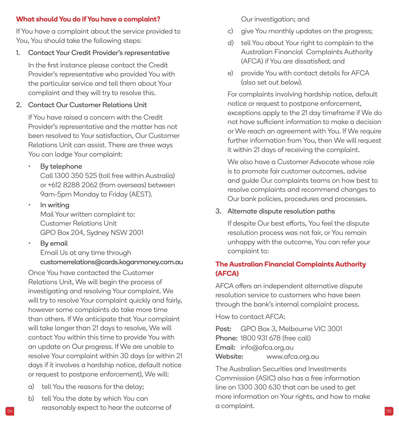#### **What should You do if You have a complaint?**

If You have a complaint about the service provided to You, You should take the following steps:

1. Contact Your Credit Provider's representative

In the first instance please contact the Credit Provider's representative who provided You with the particular service and tell them about Your complaint and they will try to resolve this.

2. Contact Our Customer Relations Unit

If You have raised a concern with the Credit Provider's representative and the matter has not been resolved to Your satisfaction, Our Customer Relations Unit can assist. There are three ways You can lodge Your complaint:

• By telephone

Call 1300 350 525 (toll free within Australia) or +612 8288 2062 (from overseas) between 9am-5pm Monday to Friday (AEST).

- In writing Mail Your written complaint to: Customer Relations Unit GPO Box 204, Sydney NSW 2001
- By email Email Us at any time through [customerrelations@cards.koganmoney.com.au](mailto:customerrelations%40cards.koganmoney.com.au?subject=)

Once You have contacted the Customer Relations Unit, We will begin the process of investigating and resolving Your complaint. We will try to resolve Your complaint quickly and fairly, however some complaints do take more time than others. If We anticipate that Your complaint will take longer than 21 days to resolve, We will contact You within this time to provide You with an update on Our progress. If We are unable to resolve Your complaint within 30 days (or within 21 days if it involves a hardship notice, default notice or request to postpone enforcement), We will:

- a) tell You the reasons for the delay;
- $_{54}$  reasonably expect to hear the outcome of  $\hbox{or}$  a complaint. b) tell You the date by which You can

Our investigation; and

- c) give You monthly updates on the progress;
- d) tell You about Your right to complain to the Australian Financial Complaints Authority (AFCA) if You are dissatisfied; and
- e) provide You with contact details for AFCA (also set out below).

For complaints involving hardship notice, default notice or request to postpone enforcement, exceptions apply to the 21 day timeframe if We do not have sufficient information to make a decision or We reach an agreement with You. If We require further information from You, then We will request it within 21 days of receiving the complaint.

We also have a Customer Advocate whose role is to promote fair customer outcomes, advise and guide Our complaints teams on how best to resolve complaints and recommend changes to Our bank policies, procedures and processes.

3. Alternate dispute resolution paths

If despite Our best efforts, You feel the dispute resolution process was not fair, or You remain unhappy with the outcome, You can refer your complaint to:

## **The Australian Financial Complaints Authority (AFCA)**

AFCA offers an independent alternative dispute resolution service to customers who have been through the bank's internal complaint process.

How to contact AFCA:

Post: GPO Box 3, Melbourne VIC 3001 Phone: 1800 931 678 (free call) Email: [info@afca.org.au](mailto:INFO%40AFCA.ORG.AU?subject=) Website: [www.afca.org.au](http://WWW.AFCA.ORG.AU)

The Australian Securities and Investments Commission (ASIC) also has a free information line on 1300 300 630 that can be used to get more information on Your rights, and how to make a complaint.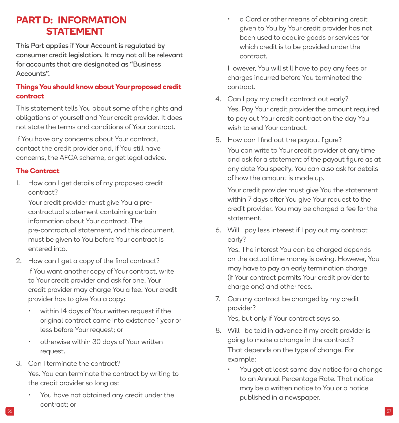# <span id="page-28-0"></span>**PART D: INFORMATION STATEMENT**

This Part applies if Your Account is regulated by consumer credit legislation. It may not all be relevant for accounts that are designated as "Business Accounts".

## **Things You should know about Your proposed credit contract**

This statement tells You about some of the rights and obligations of yourself and Your credit provider. It does not state the terms and conditions of Your contract.

If You have any concerns about Your contract, contact the credit provider and, if You still have concerns, the AFCA scheme, or get legal advice.

## **The Contract**

1. How can I get details of my proposed credit contract?

Your credit provider must give You a precontractual statement containing certain information about Your contract. The pre-contractual statement, and this document, must be given to You before Your contract is entered into.

- 2. How can I get a copy of the final contract? If You want another copy of Your contract, write to Your credit provider and ask for one. Your credit provider may charge You a fee. Your credit provider has to give You a copy:
	- within 14 days of Your written request if the original contract came into existence 1 year or less before Your request; or
	- otherwise within 30 days of Your written request.
- 3. Can I terminate the contract? Yes. You can terminate the contract by writing to the credit provider so long as:
	- You have not obtained any credit under the contract; or

• a Card or other means of obtaining credit given to You by Your credit provider has not been used to acquire goods or services for which credit is to be provided under the contract.

However, You will still have to pay any fees or charges incurred before You terminated the contract.

- 4. Can I pay my credit contract out early? Yes. Pay Your credit provider the amount required to pay out Your credit contract on the day You wish to end Your contract.
- 5. How can I find out the payout figure? You can write to Your credit provider at any time and ask for a statement of the payout figure as at any date You specify. You can also ask for details of how the amount is made up.

Your credit provider must give You the statement within 7 days after You give Your request to the credit provider. You may be charged a fee for the statement.

6. Will I pay less interest if I pay out my contract early?

Yes. The interest You can be charged depends on the actual time money is owing. However, You may have to pay an early termination charge (if Your contract permits Your credit provider to charge one) and other fees.

7. Can my contract be changed by my credit provider?

Yes, but only if Your contract says so.

- 8. Will I be told in advance if my credit provider is going to make a change in the contract? That depends on the type of change. For example:
	- You get at least same day notice for a change to an Annual Percentage Rate. That notice may be a written notice to You or a notice published in a newspaper.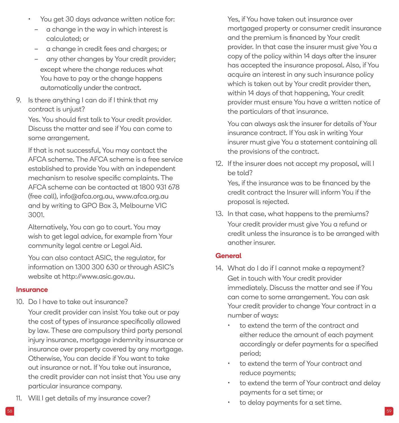- You get 30 days advance written notice for:
	- a change in the way in which interest is calculated; or
	- a change in credit fees and charges; or
	- any other changes by Your credit provider; except where the change reduces what You have to pay or the change happens automatically under the contract.
- 9. Is there anything I can do if I think that my contract is unjust?

Yes. You should first talk to Your credit provider. Discuss the matter and see if You can come to some arrangement.

If that is not successful, You may contact the AFCA scheme. The AFCA scheme is a free service established to provide You with an independent mechanism to resolve specific complaints. The AFCA scheme can be contacted at 1800 931 678 (free call), [info@afca.org.au,](mailto:INFO%40AFCA.ORG.AU?subject=) [www.afca.org.au](http://WWW.AFCA.ORG.AU) and by writing to GPO Box 3, Melbourne VIC 3001.

Alternatively, You can go to court. You may wish to get legal advice, for example from Your community legal centre or Legal Aid.

You can also contact ASIC, the regulator, for information on 1300 300 630 or through ASIC's website at [http://www.asic.gov.au.](http://www.asic.gov.au)

#### **Insurance**

10. Do I have to take out insurance?

Your credit provider can insist You take out or pay the cost of types of insurance specifically allowed by law. These are compulsory third party personal injury insurance, mortgage indemnity insurance or insurance over property covered by any mortgage. Otherwise, You can decide if You want to take out insurance or not. If You take out insurance, the credit provider can not insist that You use any particular insurance company.

11. Will I get details of my insurance cover?

Yes, if You have taken out insurance over mortgaged property or consumer credit insurance and the premium is financed by Your credit provider. In that case the insurer must give You a copy of the policy within 14 days after the insurer has accepted the insurance proposal. Also, if You acquire an interest in any such insurance policy which is taken out by Your credit provider then, within 14 days of that happening, Your credit provider must ensure You have a written notice of the particulars of that insurance.

You can always ask the insurer for details of Your insurance contract. If You ask in writing Your insurer must give You a statement containing all the provisions of the contract.

12. If the insurer does not accept my proposal, will I be told?

Yes, if the insurance was to be financed by the credit contract the Insurer will inform You if the proposal is rejected.

13. In that case, what happens to the premiums? Your credit provider must give You a refund or credit unless the insurance is to be arranged with another insurer.

#### **General**

- 14. What do I do if I cannot make a repayment? Get in touch with Your credit provider immediately. Discuss the matter and see if You can come to some arrangement. You can ask Your credit provider to change Your contract in a number of ways:
	- to extend the term of the contract and either reduce the amount of each payment accordingly or defer payments for a specified period;
	- to extend the term of Your contract and reduce payments;
	- to extend the term of Your contract and delay payments for a set time; or
	- to delay payments for a set time.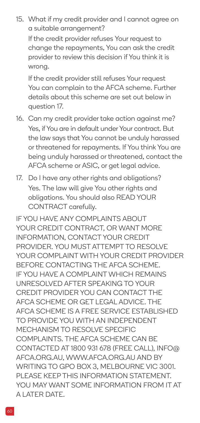15. What if my credit provider and I cannot agree on a suitable arrangement?

If the credit provider refuses Your request to change the repayments, You can ask the credit provider to review this decision if You think it is wrong.

If the credit provider still refuses Your request You can complain to the AFCA scheme. Further details about this scheme are set out below in question 17.

- 16. Can my credit provider take action against me? Yes, if You are in default under Your contract. But the law says that You cannot be unduly harassed or threatened for repayments. If You think You are being unduly harassed or threatened, contact the AFCA scheme or ASIC, or get legal advice.
- 17. Do I have any other rights and obligations? Yes. The law will give You other rights and obligations. You should also READ YOUR CONTRACT carefully.

IF YOU HAVE ANY COMPLAINTS ABOUT YOUR CREDIT CONTRACT, OR WANT MORE INFORMATION, CONTACT YOUR CREDIT PROVIDER. YOU MUST ATTEMPT TO RESOLVE YOUR COMPLAINT WITH YOUR CREDIT PROVIDER BEFORE CONTACTING THE AFCA SCHEME. IF YOU HAVE A COMPLAINT WHICH REMAINS UNRESOLVED AFTER SPEAKING TO YOUR CREDIT PROVIDER YOU CAN CONTACT THE AFCA SCHEME OR GET LEGAL ADVICE. THE AFCA SCHEME IS A FREE SERVICE ESTABLISHED TO PROVIDE YOU WITH AN INDEPENDENT MECHANISM TO RESOLVE SPECIFIC COMPLAINTS. THE AFCA SCHEME CAN BE CONTACTED AT 1800 931 678 (FREE CALL), [INFO@](mailto:INFO%40AFCA.ORG.AU?subject=) [AFCA.ORG.AU](mailto:INFO%40AFCA.ORG.AU?subject=), [WWW.AFCA.ORG.AU](http://WWW.AFCA.ORG.AU) AND BY WRITING TO GPO BOX 3, MELBOURNE VIC 3001. PLEASE KEEP THIS INFORMATION STATEMENT. YOU MAY WANT SOME INFORMATION FROM IT AT A LATER DATE.